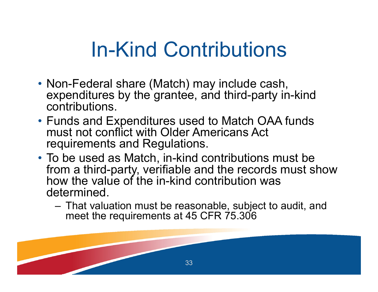## In-Kind Contributions

- Non-Federal share (Match) may include cash, expenditures by the grantee, and third-party in-kind contributions.
- Funds and Expenditures used to Match OAA funds must not conflict with Older Americans Act requirements and Regulations.
- To be used as Match, in-kind contributions must be from a third-party, verifiable and the records must show how the value of the in-kind contribution was determined.
	- – That valuation must be reasonable, subject to audit, and meet the requirements at 45 CFR 75.306

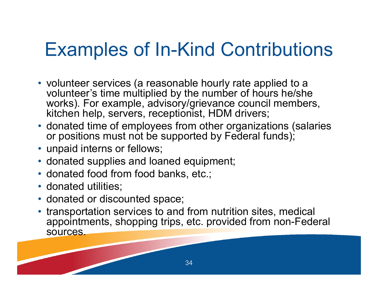## Examples of In-Kind Contributions

- volunteer services (a reasonable hourly rate applied to a volunteer's time multiplied by the number of hours he/she works). For example, advisory/grievance council members, kitchen help, servers, receptionist, HDM drivers;
- donated time of employees from other organizations (salaries or positions must not be supported by Federal funds);
- unpaid interns or fellows;
- donated supplies and loaned equipment;
- donated food from food banks, etc.;
- donated utilities;
- donated or discounted space;
- transportation services to and from nutrition sites, medical appointments, shopping trips, etc. provided from non-Federal sources.

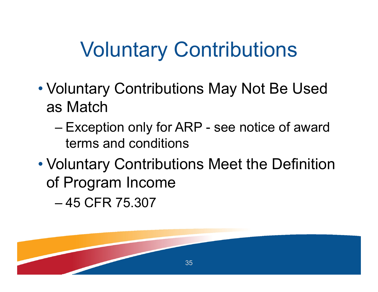## Voluntary Contributions

- • Voluntary Contributions May Not Be Used as Match
	- – Exception only for ARP - see notice of award terms and conditions
- • Voluntary Contributions Meet the Definition of Program Income

– 45 CFR 75.307